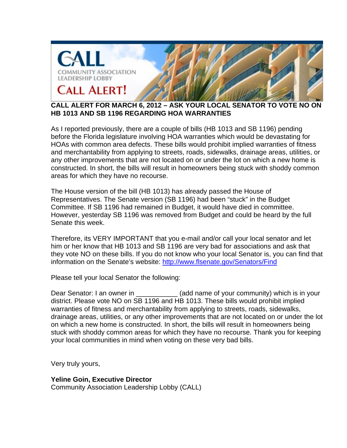

## **CALL ALERT FOR MARCH 6, 2012 – ASK YOUR LOCAL SENATOR TO VOTE NO ON HB 1013 AND SB 1196 REGARDING HOA WARRANTIES**

As I reported previously, there are a couple of bills (HB 1013 and SB 1196) pending before the Florida legislature involving HOA warranties which would be devastating for HOAs with common area defects. These bills would prohibit implied warranties of fitness and merchantability from applying to streets, roads, sidewalks, drainage areas, utilities, or any other improvements that are not located on or under the lot on which a new home is constructed. In short, the bills will result in homeowners being stuck with shoddy common areas for which they have no recourse.

The House version of the bill (HB 1013) has already passed the House of Representatives. The Senate version (SB 1196) had been "stuck" in the Budget Committee. If SB 1196 had remained in Budget, it would have died in committee. However, yesterday SB 1196 was removed from Budget and could be heard by the full Senate this week.

Therefore, its VERY IMPORTANT that you e-mail and/or call your local senator and let him or her know that HB 1013 and SB 1196 are very bad for associations and ask that they vote NO on these bills. If you do not know who your local Senator is, you can find that information on the Senate's website: http://www.flsenate.gov/Senators/Find

Please tell your local Senator the following:

Dear Senator: I an owner in **Example 20** (add name of your community) which is in your district. Please vote NO on SB 1196 and HB 1013. These bills would prohibit implied warranties of fitness and merchantability from applying to streets, roads, sidewalks, drainage areas, utilities, or any other improvements that are not located on or under the lot on which a new home is constructed. In short, the bills will result in homeowners being stuck with shoddy common areas for which they have no recourse. Thank you for keeping your local communities in mind when voting on these very bad bills.

Very truly yours,

**Yeline Goin, Executive Director**  Community Association Leadership Lobby (CALL)